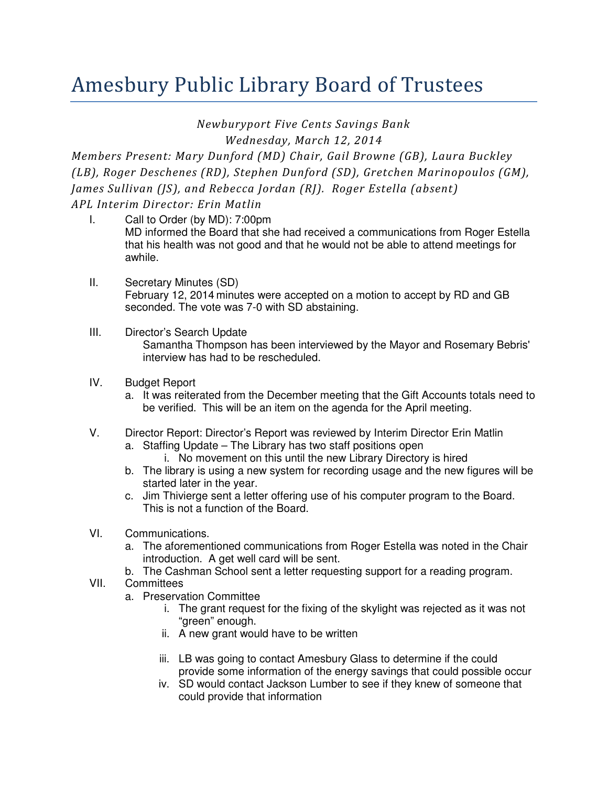## Amesbury Public Library Board of Trustees

Newburyport Five Cents Savings Bank

Wednesday, March 12, 2014

Members Present: Mary Dunford (MD) Chair, Gail Browne (GB), Laura Buckley (LB), Roger Deschenes (RD), Stephen Dunford (SD), Gretchen Marinopoulos (GM), James Sullivan (JS), and Rebecca Jordan (RJ). Roger Estella (absent)

APL Interim Director: Erin Matlin

- I. Call to Order (by MD): 7:00pm MD informed the Board that she had received a communications from Roger Estella that his health was not good and that he would not be able to attend meetings for awhile.
- II. Secretary Minutes (SD) February 12, 2014 minutes were accepted on a motion to accept by RD and GB seconded. The vote was 7-0 with SD abstaining.
- III. Director's Search Update Samantha Thompson has been interviewed by the Mayor and Rosemary Bebris' interview has had to be rescheduled.
- IV. Budget Report
	- a. It was reiterated from the December meeting that the Gift Accounts totals need to be verified. This will be an item on the agenda for the April meeting.
- V. Director Report: Director's Report was reviewed by Interim Director Erin Matlin
	- a. Staffing Update The Library has two staff positions open i. No movement on this until the new Library Directory is hired
	- b. The library is using a new system for recording usage and the new figures will be started later in the year.
	- c. Jim Thivierge sent a letter offering use of his computer program to the Board. This is not a function of the Board.
- VI. Communications.
	- a. The aforementioned communications from Roger Estella was noted in the Chair introduction. A get well card will be sent.
	- b. The Cashman School sent a letter requesting support for a reading program.
- VII. Committees
	- a. Preservation Committee
		- i. The grant request for the fixing of the skylight was rejected as it was not "green" enough.
		- ii. A new grant would have to be written
		- iii. LB was going to contact Amesbury Glass to determine if the could provide some information of the energy savings that could possible occur
		- iv. SD would contact Jackson Lumber to see if they knew of someone that could provide that information